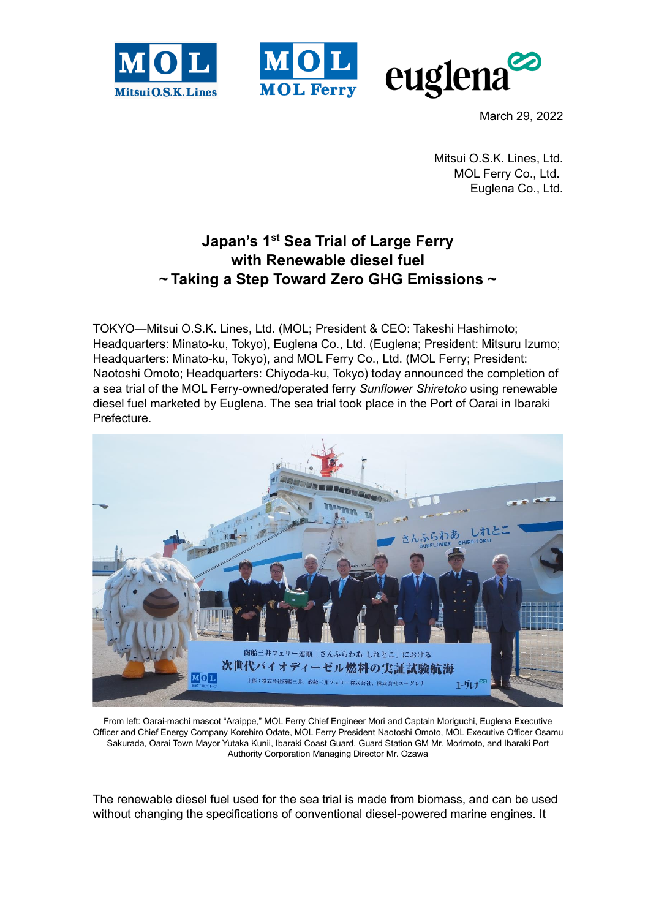



March 29, 2022

Mitsui O.S.K. Lines, Ltd. MOL Ferry Co., Ltd. Euglena Co., Ltd.

## **Japan's 1st Sea Trial of Large Ferry with Renewable diesel fuel ~ Taking a Step Toward Zero GHG Emissions ~**

TOKYO—Mitsui O.S.K. Lines, Ltd. (MOL; President & CEO: Takeshi Hashimoto; Headquarters: Minato-ku, Tokyo), Euglena Co., Ltd. (Euglena; President: Mitsuru Izumo; Headquarters: Minato-ku, Tokyo), and MOL Ferry Co., Ltd. (MOL Ferry; President: Naotoshi Omoto; Headquarters: Chiyoda-ku, Tokyo) today announced the completion of a sea trial of the MOL Ferry-owned/operated ferry *Sunflower Shiretoko* using renewable diesel fuel marketed by Euglena. The sea trial took place in the Port of Oarai in Ibaraki Prefecture.



From left: Oarai-machi mascot "Araippe," MOL Ferry Chief Engineer Mori and Captain Moriguchi, Euglena Executive Officer and Chief Energy Company Korehiro Odate, MOL Ferry President Naotoshi Omoto, MOL Executive Officer Osamu Sakurada, Oarai Town Mayor Yutaka Kunii, Ibaraki Coast Guard, Guard Station GM Mr. Morimoto, and Ibaraki Port Authority Corporation Managing Director Mr. Ozawa

The renewable diesel fuel used for the sea trial is made from biomass, and can be used without changing the specifications of conventional diesel-powered marine engines. It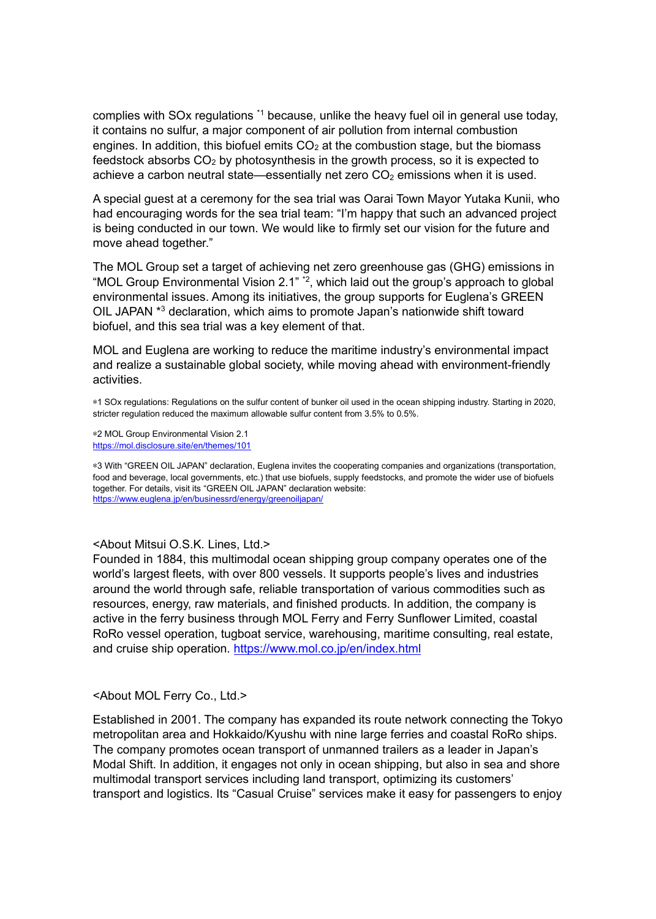complies with SOx regulations \*1 because, unlike the heavy fuel oil in general use today, it contains no sulfur, a major component of air pollution from internal combustion engines. In addition, this biofuel emits  $CO<sub>2</sub>$  at the combustion stage, but the biomass feedstock absorbs  $CO<sub>2</sub>$  by photosynthesis in the growth process, so it is expected to achieve a carbon neutral state—essentially net zero  $CO<sub>2</sub>$  emissions when it is used.

A special guest at a ceremony for the sea trial was Oarai Town Mayor Yutaka Kunii, who had encouraging words for the sea trial team: "I'm happy that such an advanced project is being conducted in our town. We would like to firmly set our vision for the future and move ahead together."

The MOL Group set a target of achieving net zero greenhouse gas (GHG) emissions in "MOL Group Environmental Vision 2.1" \*2 , which laid out the group's approach to global environmental issues. Among its initiatives, the group supports for Euglena's GREEN OIL JAPAN \* <sup>3</sup> declaration, which aims to promote Japan's nationwide shift toward biofuel, and this sea trial was a key element of that.

MOL and Euglena are working to reduce the maritime industry's environmental impact and realize a sustainable global society, while moving ahead with environment-friendly activities.

\*1 SOx regulations: Regulations on the sulfur content of bunker oil used in the ocean shipping industry. Starting in 2020, stricter regulation reduced the maximum allowable sulfur content from 3.5% to 0.5%.

\*2 MOL Group Environmental Vision 2.1 <https://mol.disclosure.site/en/themes/101>

\*3 With "GREEN OIL JAPAN" declaration, Euglena invites the cooperating companies and organizations (transportation, food and beverage, local governments, etc.) that use biofuels, supply feedstocks, and promote the wider use of biofuels together. For details, visit its "GREEN OIL JAPAN" declaration website: <https://www.euglena.jp/en/businessrd/energy/greenoiljapan/>

<About Mitsui O.S.K. Lines, Ltd.>

Founded in 1884, this multimodal ocean shipping group company operates one of the world's largest fleets, with over 800 vessels. It supports people's lives and industries around the world through safe, reliable transportation of various commodities such as resources, energy, raw materials, and finished products. In addition, the company is active in the ferry business through MOL Ferry and Ferry Sunflower Limited, coastal RoRo vessel operation, tugboat service, warehousing, maritime consulting, real estate, and cruise ship operation.<https://www.mol.co.jp/en/index.html>

<About MOL Ferry Co., Ltd.>

Established in 2001. The company has expanded its route network connecting the Tokyo metropolitan area and Hokkaido/Kyushu with nine large ferries and coastal RoRo ships. The company promotes ocean transport of unmanned trailers as a leader in Japan's Modal Shift. In addition, it engages not only in ocean shipping, but also in sea and shore multimodal transport services including land transport, optimizing its customers' transport and logistics. Its "Casual Cruise" services make it easy for passengers to enjoy